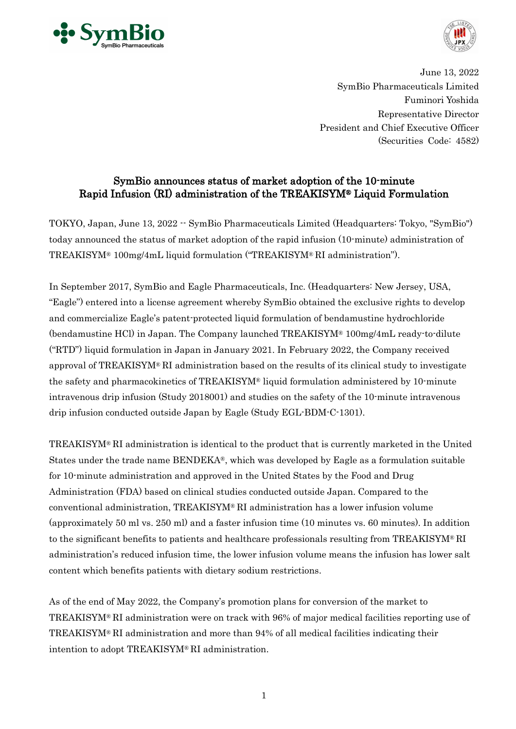



June 13, 2022 SymBio Pharmaceuticals Limited Fuminori Yoshida Representative Director President and Chief Executive Officer (Securities Code: 4582)

# SymBio announces status of market adoption of the 10-minute Rapid Infusion (RI) administration of the TREAKISYM® Liquid Formulation

TOKYO, Japan, June 13, 2022 -- SymBio Pharmaceuticals Limited (Headquarters: Tokyo, "SymBio") today announced the status of market adoption of the rapid infusion (10-minute) administration of TREAKISYM® 100mg/4mL liquid formulation ("TREAKISYM® RI administration").

In September 2017, SymBio and Eagle Pharmaceuticals, Inc. (Headquarters: New Jersey, USA, "Eagle") entered into a license agreement whereby SymBio obtained the exclusive rights to develop and commercialize Eagle's patent-protected liquid formulation of bendamustine hydrochloride (bendamustine HCl) in Japan. The Company launched TREAKISYM® 100mg/4mL ready-to-dilute ("RTD") liquid formulation in Japan in January 2021. In February 2022, the Company received approval of TREAKISYM® RI administration based on the results of its clinical study to investigate the safety and pharmacokinetics of TREAKISYM® liquid formulation administered by 10-minute intravenous drip infusion (Study 2018001) and studies on the safety of the 10-minute intravenous drip infusion conducted outside Japan by Eagle (Study EGL-BDM-C-1301).

TREAKISYM® RI administration is identical to the product that is currently marketed in the United States under the trade name BENDEKA®, which was developed by Eagle as a formulation suitable for 10-minute administration and approved in the United States by the Food and Drug Administration (FDA) based on clinical studies conducted outside Japan. Compared to the conventional administration, TREAKISYM® RI administration has a lower infusion volume (approximately 50 ml vs. 250 ml) and a faster infusion time (10 minutes vs. 60 minutes). In addition to the significant benefits to patients and healthcare professionals resulting from TREAKISYM® RI administration's reduced infusion time, the lower infusion volume means the infusion has lower salt content which benefits patients with dietary sodium restrictions.

As of the end of May 2022, the Company's promotion plans for conversion of the market to TREAKISYM® RI administration were on track with 96% of major medical facilities reporting use of TREAKISYM® RI administration and more than 94% of all medical facilities indicating their intention to adopt TREAKISYM® RI administration.